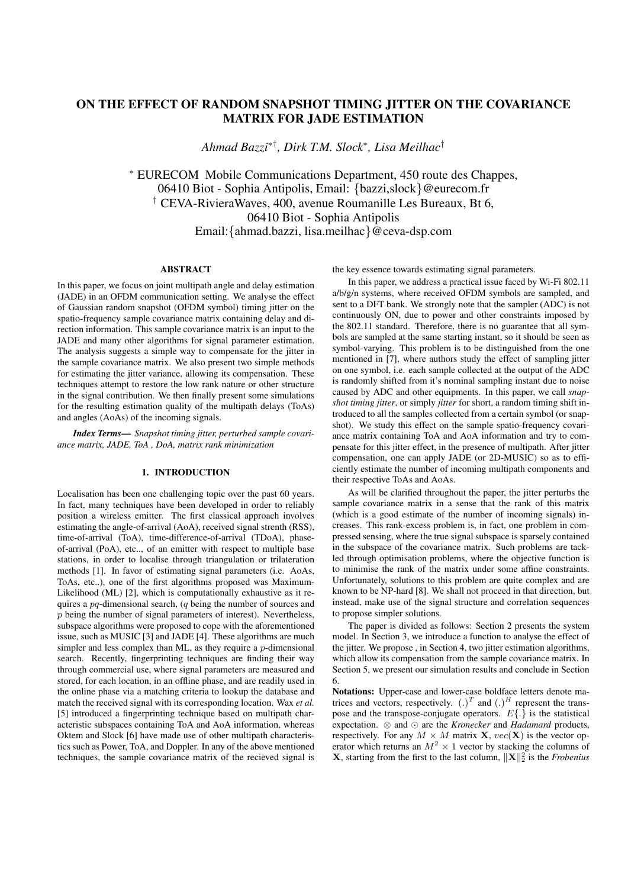# ON THE EFFECT OF RANDOM SNAPSHOT TIMING JITTER ON THE COVARIANCE MATRIX FOR JADE ESTIMATION

*Ahmad Bazzi*∗†*, Dirk T.M. Slock*<sup>∗</sup> *, Lisa Meilhac*†

<sup>∗</sup> EURECOM Mobile Communications Department, 450 route des Chappes, 06410 Biot - Sophia Antipolis, Email: {bazzi,slock}@eurecom.fr † CEVA-RivieraWaves, 400, avenue Roumanille Les Bureaux, Bt 6, 06410 Biot - Sophia Antipolis Email:{ahmad.bazzi, lisa.meilhac}@ceva-dsp.com

### ABSTRACT

In this paper, we focus on joint multipath angle and delay estimation (JADE) in an OFDM communication setting. We analyse the effect of Gaussian random snapshot (OFDM symbol) timing jitter on the spatio-frequency sample covariance matrix containing delay and direction information. This sample covariance matrix is an input to the JADE and many other algorithms for signal parameter estimation. The analysis suggests a simple way to compensate for the jitter in the sample covariance matrix. We also present two simple methods for estimating the jitter variance, allowing its compensation. These techniques attempt to restore the low rank nature or other structure in the signal contribution. We then finally present some simulations for the resulting estimation quality of the multipath delays (ToAs) and angles (AoAs) of the incoming signals.

*Index Terms*— *Snapshot timing jitter, perturbed sample covariance matrix, JADE, ToA , DoA, matrix rank minimization*

## 1. INTRODUCTION

Localisation has been one challenging topic over the past 60 years. In fact, many techniques have been developed in order to reliably position a wireless emitter. The first classical approach involves estimating the angle-of-arrival (AoA), received signal strenth (RSS). time-of-arrival (ToA), time-difference-of-arrival (TDoA), phaseof-arrival (PoA), etc.., of an emitter with respect to multiple base stations, in order to localise through triangulation or trilateration methods [1]. In favor of estimating signal parameters (i.e. AoAs, ToAs, etc..), one of the first algorithms proposed was Maximum-Likelihood (ML) [2], which is computationally exhaustive as it requires a pq-dimensional search, (q being the number of sources and p being the number of signal parameters of interest). Nevertheless, subspace algorithms were proposed to cope with the aforementioned issue, such as MUSIC [3] and JADE [4]. These algorithms are much simpler and less complex than ML, as they require a p-dimensional search. Recently, fingerprinting techniques are finding their way through commercial use, where signal parameters are measured and stored, for each location, in an offline phase, and are readily used in the online phase via a matching criteria to lookup the database and match the received signal with its corresponding location. Wax *et al.* [5] introduced a fingerprinting technique based on multipath characteristic subspaces containing ToA and AoA information, whereas Oktem and Slock [6] have made use of other multipath characteristics such as Power, ToA, and Doppler. In any of the above mentioned techniques, the sample covariance matrix of the recieved signal is

the key essence towards estimating signal parameters.

In this paper, we address a practical issue faced by Wi-Fi 802.11 a/b/g/n systems, where received OFDM symbols are sampled, and sent to a DFT bank. We strongly note that the sampler (ADC) is not continuously ON, due to power and other constraints imposed by the 802.11 standard. Therefore, there is no guarantee that all symbols are sampled at the same starting instant, so it should be seen as symbol-varying. This problem is to be distinguished from the one mentioned in [7], where authors study the effect of sampling jitter on one symbol, i.e. each sample collected at the output of the ADC is randomly shifted from it's nominal sampling instant due to noise caused by ADC and other equipments. In this paper, we call *snapshot timing jitter*, or simply *jitter* for short, a random timing shift introduced to all the samples collected from a certain symbol (or snapshot). We study this effect on the sample spatio-frequency covariance matrix containing ToA and AoA information and try to compensate for this jitter effect, in the presence of multipath. After jitter compensation, one can apply JADE (or 2D-MUSIC) so as to efficiently estimate the number of incoming multipath components and their respective ToAs and AoAs.

As will be clarified throughout the paper, the jitter perturbs the sample covariance matrix in a sense that the rank of this matrix (which is a good estimate of the number of incoming signals) increases. This rank-excess problem is, in fact, one problem in compressed sensing, where the true signal subspace is sparsely contained in the subspace of the covariance matrix. Such problems are tackled through optimisation problems, where the objective function is to minimise the rank of the matrix under some affine constraints. Unfortunately, solutions to this problem are quite complex and are known to be NP-hard [8]. We shall not proceed in that direction, but instead, make use of the signal structure and correlation sequences to propose simpler solutions.

The paper is divided as follows: Section 2 presents the system model. In Section 3, we introduce a function to analyse the effect of the jitter. We propose , in Section 4, two jitter estimation algorithms, which allow its compensation from the sample covariance matrix. In Section 5, we present our simulation results and conclude in Section 6.

Notations: Upper-case and lower-case boldface letters denote matrices and vectors, respectively.  $(.)^T$  and  $(.)^H$  represent the transpose and the transpose-conjugate operators.  $E\{\hat{\theta}\}$  is the statistical expectation.  $\otimes$  and  $\odot$  are the *Kronecker* and *Hadamard* products, respectively. For any  $M \times M$  matrix **X**,  $vec(\mathbf{X})$  is the vector operator which returns an  $M^2 \times 1$  vector by stacking the columns of **X**, starting from the first to the last column,  $\|\mathbf{X}\|_2^2$  is the *Frobenius*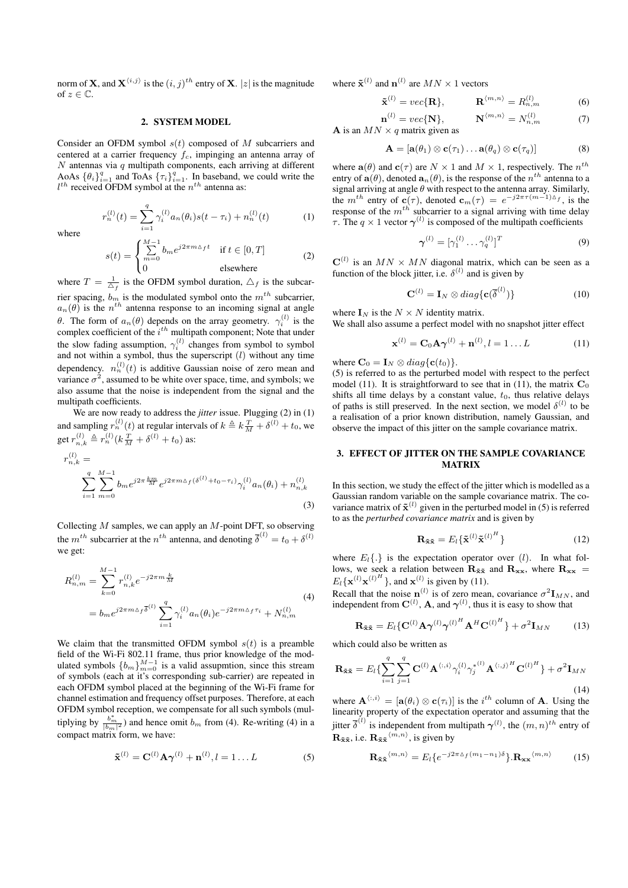norm of **X**, and  $\mathbf{X}^{\langle i,j\rangle}$  is the  $(i,j)^{th}$  entry of **X**.  $|z|$  is the magnitude of  $z \in \mathbb{C}$ .

## 2. SYSTEM MODEL

Consider an OFDM symbol  $s(t)$  composed of M subcarriers and centered at a carrier frequency  $f_c$ , impinging an antenna array of  $N$  antennas via  $q$  multipath components, each arriving at different AoAs  $\{\theta_i\}_{i=1}^q$  and ToAs  $\{\tau_i\}_{i=1}^q$ . In baseband, we could write the  $l^{th}$  received OFDM symbol at the  $n^{th}$  antenna as:

$$
r_n^{(l)}(t) = \sum_{i=1}^q \gamma_i^{(l)} a_n(\theta_i) s(t - \tau_i) + n_n^{(l)}(t)
$$
 (1)

where

$$
s(t) = \begin{cases} \sum_{m=0}^{M-1} b_m e^{j2\pi m \Delta_f t} & \text{if } t \in [0, T] \\ 0 & \text{elsewhere} \end{cases}
$$
 (2)

where  $T = \frac{1}{\Delta_f}$  is the OFDM symbol duration,  $\Delta_f$  is the subcarrier spacing,  $b_m$  is the modulated symbol onto the  $m^{th}$  subcarrier,  $a_n(\theta)$  is the  $n^{th}$  antenna response to an incoming signal at angle θ. The form of  $a_n(θ)$  depends on the array geometry.  $\gamma_i^{(l)}$  is the complex coefficient of the  $i^{th}$  multipath component; Note that under the slow fading assumption,  $\gamma_i^{(l)}$  changes from symbol to symbol and not within a symbol, thus the superscript  $(l)$  without any time dependency.  $n_n^{(l)}(t)$  is additive Gaussian noise of zero mean and variance  $\sigma^2$ , assumed to be white over space, time, and symbols; we also assume that the noise is independent from the signal and the multipath coefficients.

We are now ready to address the *jitter* issue. Plugging (2) in (1) and sampling  $r_n^{(l)}(t)$  at regular intervals of  $k \triangleq k \frac{T}{M} + \delta^{(l)} + t_0$ , we get  $r_{n,k}^{(l)} \triangleq r_n^{(l)} (k \frac{T}{M} + \delta^{(l)} + t_0)$  as:

$$
r_{n,k}^{(l)} = \sum_{i=1}^{q} \sum_{m=0}^{M-1} b_m e^{j2\pi \frac{km}{M}} e^{j2\pi m \Delta_f (\delta^{(l)} + t_0 - \tau_i)} \gamma_i^{(l)} a_n(\theta_i) + n_{n,k}^{(l)}
$$
(3)

Collecting  $M$  samples, we can apply an  $M$ -point DFT, so observing the  $m^{th}$  subcarrier at the  $n^{th}$  antenna, and denoting  $\overline{\delta}^{(l)} = t_0 + \delta^{(l)}$ we get:

$$
R_{n,m}^{(l)} = \sum_{k=0}^{M-1} r_{n,k}^{(l)} e^{-j2\pi m \frac{k}{M}}
$$
  
=  $b_m e^{j2\pi m \Delta_f \overline{\delta}^{(l)}} \sum_{i=1}^{q} \gamma_i^{(l)} a_n(\theta_i) e^{-j2\pi m \Delta_f \tau_i} + N_{n,m}^{(l)}$  (4)

We claim that the transmitted OFDM symbol  $s(t)$  is a preamble field of the Wi-Fi 802.11 frame, thus prior knowledge of the modulated symbols  ${b_m}_{m=0}^{M-1}$  is a valid assupmtion, since this stream of symbols (each at it's corresponding sub-carrier) are repeated in each OFDM symbol placed at the beginning of the Wi-Fi frame for channel estimation and frequency offset purposes. Therefore, at each OFDM symbol reception, we compensate for all such symbols (multiplying by  $\frac{b_m^*}{|b_m|^2}$  and hence omit  $b_m$  from (4). Re-writing (4) in a compact matrix form, we have:

$$
\tilde{\mathbf{x}}^{(l)} = \mathbf{C}^{(l)} \mathbf{A} \boldsymbol{\gamma}^{(l)} + \mathbf{n}^{(l)}, l = 1 \dots L \tag{5}
$$

where  $\tilde{\mathbf{x}}^{(l)}$  and  $\mathbf{n}^{(l)}$  are  $MN \times 1$  vectors

$$
\tilde{\mathbf{x}}^{(l)} = vec\{\mathbf{R}\}, \qquad \mathbf{R}^{\langle m,n\rangle} = R_{n,m}^{(l)} \tag{6}
$$

$$
\mathbf{n}^{(l)} = vec\{\mathbf{N}\}, \qquad \mathbf{N}^{\langle m,n\rangle} = N_{n,m}^{(l)} \tag{7}
$$

A is an  $MN \times q$  matrix given as

$$
\mathbf{A} = [\mathbf{a}(\theta_1) \otimes \mathbf{c}(\tau_1) \dots \mathbf{a}(\theta_q) \otimes \mathbf{c}(\tau_q)] \tag{8}
$$

where  $\mathbf{a}(\theta)$  and  $\mathbf{c}(\tau)$  are  $N \times 1$  and  $M \times 1$ , respectively. The  $n^{th}$ entry of  $\mathbf{a}(\theta)$ , denoted  $\mathbf{a}_n(\theta)$ , is the response of the  $n^{th}$  antenna to a signal arriving at angle  $\theta$  with respect to the antenna array. Similarly, the  $m^{th}$  entry of  $\mathbf{c}(\tau)$ , denoted  $\mathbf{c}_m(\tau) = e^{-j2\pi\tau(m-1)\Delta_f}$ , is the response of the  $m^{th}$  subcarrier to a signal arriving with time delay τ. The  $q \times 1$  vector  $\gamma^{(l)}$  is composed of the multipath coefficients

$$
\boldsymbol{\gamma}^{(l)} = [\gamma_1^{(l)} \dots \gamma_q^{(l)}]^T \tag{9}
$$

 $\mathbf{C}^{(l)}$  is an  $MN \times MN$  diagonal matrix, which can be seen as a function of the block jitter, i.e.  $\delta^{(l)}$  and is given by

$$
\mathbf{C}^{(l)} = \mathbf{I}_N \otimes diag\{\mathbf{c}(\overline{\delta}^{(l)})\}
$$
 (10)

where  $\mathbf{I}_N$  is the  $N \times N$  identity matrix.

We shall also assume a perfect model with no snapshot jitter effect

$$
\mathbf{x}^{(l)} = \mathbf{C}_0 \mathbf{A} \boldsymbol{\gamma}^{(l)} + \mathbf{n}^{(l)}, l = 1 \dots L \tag{11}
$$

where  $\mathbf{C}_0 = \mathbf{I}_N \otimes diag\{\mathbf{c}(t_0)\}.$ 

(5) is referred to as the perturbed model with respect to the perfect model (11). It is straightforward to see that in (11), the matrix  $C_0$ shifts all time delays by a constant value,  $t_0$ , thus relative delays of paths is still preserved. In the next section, we model  $\delta^{(l)}$  to be a realisation of a prior known distribution, namely Gaussian, and observe the impact of this jitter on the sample covariance matrix.

### 3. EFFECT OF JITTER ON THE SAMPLE COVARIANCE MATRIX

In this section, we study the effect of the jitter which is modelled as a Gaussian random variable on the sample covariance matrix. The covariance matrix of  $\tilde{\mathbf{x}}^{(l)}$  given in the perturbed model in (5) is referred to as the *perturbed covariance matrix* and is given by

$$
\mathbf{R}_{\tilde{\mathbf{x}}\tilde{\mathbf{x}}} = E_l \{ \tilde{\mathbf{x}}^{(l)} \tilde{\mathbf{x}}^{(l)^H} \}
$$
 (12)

where  $E_l\{\cdot\}$  is the expectation operator over  $(l)$ . In what follows, we seek a relation between  $\mathbf{R}_{\tilde{\mathbf{x}}\tilde{\mathbf{x}}}$  and  $\mathbf{R}_{\mathbf{x}\mathbf{x}}$ , where  $\mathbf{R}_{\mathbf{x}\mathbf{x}}$  $E_l\{\mathbf{x}^{(l)}\mathbf{x}^{(l)H}\}\$ , and  $\mathbf{x}^{(l)}$  is given by (11).

Recall that the noise  $\mathbf{n}^{(l)}$  is of zero mean, covariance  $\sigma^2 \mathbf{I}_{MN}$ , and independent from  $\mathbf{C}^{(l)}$ , **A**, and  $\boldsymbol{\gamma}^{(l)}$ , thus it is easy to show that

$$
\mathbf{R}_{\tilde{\mathbf{x}}\tilde{\mathbf{x}}} = E_l \{ \mathbf{C}^{(l)} \mathbf{A} \boldsymbol{\gamma}^{(l)} \boldsymbol{\gamma}^{(l)^H} \mathbf{A}^H \mathbf{C}^{(l)^H} \} + \sigma^2 \mathbf{I}_{MN}
$$
(13)

which could also be written as

$$
\mathbf{R}_{\tilde{\mathbf{x}}\tilde{\mathbf{x}}} = E_l \{ \sum_{i=1}^{q} \sum_{j=1}^{q} \mathbf{C}^{(l)} \mathbf{A}^{\langle : , i \rangle} \gamma_i^{(l)} \gamma_j^{*^{(l)}} \mathbf{A}^{\langle : , j \rangle^H} \mathbf{C}^{(l)^H} \} + \sigma^2 \mathbf{I}_{MN}
$$
\n(14)

where  $\mathbf{A}^{\langle:,i\rangle} = [\mathbf{a}(\theta_i) \otimes \mathbf{c}(\tau_i)]$  is the  $i^{th}$  column of **A**. Using the linearity property of the expectation operator and assuming that the jitter  $\overline{\delta}^{(l)}$  is independent from multipath  $\gamma^{(l)}$ , the  $(m, n)^{th}$  entry of  $\mathbf{R}_{\tilde{\mathbf{x}}\tilde{\mathbf{x}}}$ , i.e.  $\mathbf{R}_{\tilde{\mathbf{x}}\tilde{\mathbf{x}}}$   $\langle m,n \rangle$ , is given by

$$
\mathbf{R}_{\tilde{\mathbf{x}}\tilde{\mathbf{x}}}^{\langle m,n\rangle} = E_l \{e^{-j2\pi\Delta_f(m_1 - n_1)\delta}\} \cdot \mathbf{R}_{\mathbf{x}\mathbf{x}}^{\langle m,n\rangle} \tag{15}
$$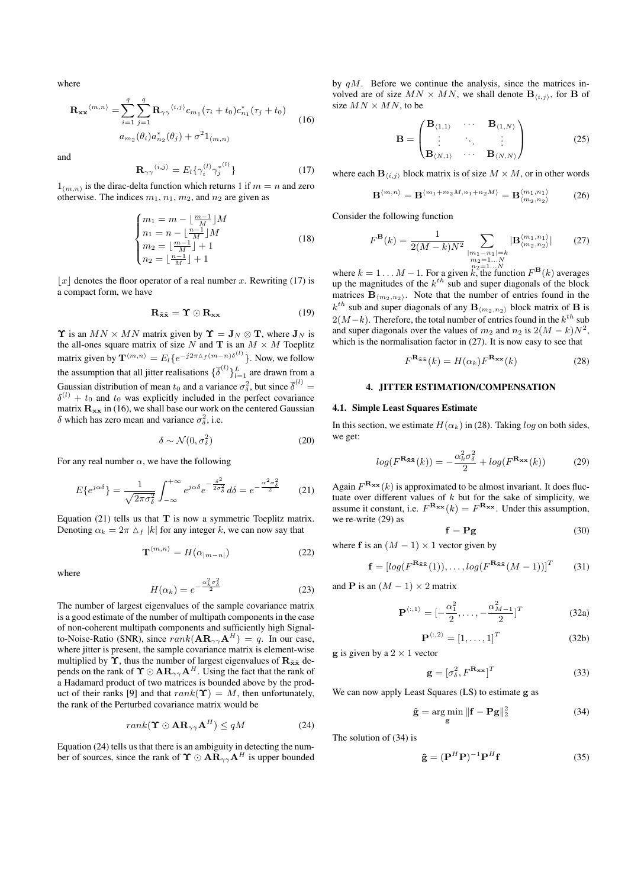where

$$
\mathbf{R}_{\mathbf{xx}}^{\langle m,n\rangle} = \sum_{i=1}^{q} \sum_{j=1}^{q} \mathbf{R}_{\gamma\gamma}^{\langle i,j\rangle} c_{m_1}(\tau_i + t_0) c_{n_1}^*(\tau_j + t_0)
$$
  
\n
$$
a_{m_2}(\theta_i) a_{n_2}^*(\theta_j) + \sigma^2 \mathbf{1}_{(m,n)}
$$
\n(16)

and

$$
\mathbf{R}_{\gamma\gamma}^{\qquad \quad (i,j)} = E_l \{ \gamma_i^{(l)} \gamma_j^{*^{(l)}} \} \tag{17}
$$

 $1_{(m,n)}$  is the dirac-delta function which returns 1 if  $m = n$  and zero otherwise. The indices  $m_1$ ,  $n_1$ ,  $m_2$ , and  $n_2$  are given as

$$
\begin{cases}\nm_1 = m - \lfloor \frac{m-1}{M} \rfloor M \\
n_1 = n - \lfloor \frac{n-1}{M} \rfloor M \\
m_2 = \lfloor \frac{m-1}{M} \rfloor + 1 \\
n_2 = \lfloor \frac{n-1}{M} \rfloor + 1\n\end{cases} (18)
$$

 $|x|$  denotes the floor operator of a real number x. Rewriting (17) is a compact form, we have

$$
\mathbf{R}_{\tilde{\mathbf{x}}\tilde{\mathbf{x}}} = \mathbf{\Upsilon} \odot \mathbf{R}_{\mathbf{x}\mathbf{x}} \tag{19}
$$

 $\Upsilon$  is an  $MN \times MN$  matrix given by  $\Upsilon = J_N \otimes T$ , where  $J_N$  is the all-ones square matrix of size N and T is an  $M \times M$  Toeplitz matrix given by  $\mathbf{T}^{\langle m,n\rangle} = E_l \{ e^{-j2\pi \Delta_f (m-n)\delta^{(l)}} \}$ . Now, we follow the assumption that all jitter realisations  $\{\overline{\delta}^{(l)}\}_{l=1}^L$  are drawn from a Gaussian distribution of mean  $t_0$  and a variance  $\sigma_{\delta}^2$ , but since  $\overline{\delta}^{(l)}$  =  $\delta^{(l)}$  + t<sub>0</sub> and t<sub>0</sub> was explicitly included in the perfect covariance matrix  $\mathbf{R}_{\mathbf{x}\mathbf{x}}$  in (16), we shall base our work on the centered Gaussian δ which has zero mean and variance  $\sigma_{\delta}^2$ , i.e.

$$
\delta \sim \mathcal{N}(0, \sigma_{\delta}^2) \tag{20}
$$

For any real number  $\alpha$ , we have the following

$$
E\{e^{j\alpha\delta}\} = \frac{1}{\sqrt{2\pi\sigma_{\delta}^2}} \int_{-\infty}^{+\infty} e^{j\alpha\delta} e^{-\frac{\delta^2}{2\sigma_{\delta}^2}} d\delta = e^{-\frac{\alpha^2 \sigma_{\delta}^2}{2}} \qquad (21)
$$

Equation  $(21)$  tells us that **T** is now a symmetric Toeplitz matrix. Denoting  $\alpha_k = 2\pi \Delta_f |k|$  for any integer k, we can now say that

$$
\mathbf{T}^{\langle m,n\rangle} = H(\alpha_{|m-n|})\tag{22}
$$

where

$$
H(\alpha_k) = e^{-\frac{\alpha_k^2 \sigma_0^2}{2}} \tag{23}
$$

The number of largest eigenvalues of the sample covariance matrix is a good estimate of the number of multipath components in the case of non-coherent multipath components and sufficiently high Signalto-Noise-Ratio (SNR), since  $rank(AR_{\gamma\gamma}A^{H}) = q$ . In our case, where jitter is present, the sample covariance matrix is element-wise multiplied by  $\Upsilon$ , thus the number of largest eigenvalues of  $R_{\tilde{x}\tilde{x}}$  depends on the rank of  $\Upsilon \odot \mathbf{AR}_{\gamma\gamma} \mathbf{A}^H$ . Using the fact that the rank of a Hadamard product of two matrices is bounded above by the product of their ranks [9] and that  $rank(\Upsilon) = M$ , then unfortunately, the rank of the Perturbed covariance matrix would be

$$
rank(\Upsilon \odot \mathbf{AR}_{\gamma\gamma}\mathbf{A}^H) \le qM \tag{24}
$$

Equation (24) tells us that there is an ambiguity in detecting the number of sources, since the rank of  $\Upsilon \odot AR_{\gamma\gamma} A^H$  is upper bounded by  $qM$ . Before we continue the analysis, since the matrices involved are of size  $MN \times MN$ , we shall denote  $\mathbf{B}_{(i,j)}$ , for **B** of size  $MN \times MN$ , to be

$$
\mathbf{B} = \begin{pmatrix} \mathbf{B}_{\langle 1,1 \rangle} & \cdots & \mathbf{B}_{\langle 1,N \rangle} \\ \vdots & \ddots & \vdots \\ \mathbf{B}_{\langle N,1 \rangle} & \cdots & \mathbf{B}_{\langle N,N \rangle} \end{pmatrix}
$$
(25)

where each  $\mathbf{B}_{\langle i,j \rangle}$  block matrix is of size  $M \times M$ , or in other words

$$
\mathbf{B}^{\langle m,n\rangle} = \mathbf{B}^{\langle m_1+m_2M,n_1+n_2M\rangle} = \mathbf{B}^{\langle m_1,n_1\rangle}_{\langle m_2,n_2\rangle}
$$
 (26)

Consider the following function

$$
F^{\mathbf{B}}(k) = \frac{1}{2(M-k)N^2} \sum_{\substack{|m_1 - n_1| = k \\ m_2 = 1 \dots N \\ n_2 = 1 \dots N}} |\mathbf{B}_{\langle m_2, n_2 \rangle}^{(m_1, n_1)}| \tag{27}
$$

where  $k = 1...M - 1$ . For a given k, the function  $F^{\mathbf{B}}(k)$  averages up the magnitudes of the  $k^{th}$  sub and super diagonals of the block matrices  $\mathbf{B}_{\langle m_2,n_2\rangle}$ . Note that the number of entries found in the  $k^{th}$  sub and super diagonals of any  $\mathbf{B}_{(m_2,n_2)}$  block matrix of **B** is  $2(M-k)$ . Therefore, the total number of entries found in the  $k^{th}$  sub and super diagonals over the values of  $m_2$  and  $n_2$  is  $2(M - k)N^2$ , which is the normalisation factor in (27). It is now easy to see that

$$
F^{\mathbf{R}_{\tilde{\mathbf{x}}\tilde{\mathbf{x}}}}(k) = H(\alpha_k) F^{\mathbf{R}_{\mathbf{x}\mathbf{x}}}(k)
$$
 (28)

### 4. JITTER ESTIMATION/COMPENSATION

### 4.1. Simple Least Squares Estimate

In this section, we estimate  $H(\alpha_k)$  in (28). Taking log on both sides, we get:

$$
log(F^{\mathbf{R}_{\tilde{\mathbf{x}}\tilde{\mathbf{x}}}}(k)) = -\frac{\alpha_k^2 \sigma_\delta^2}{2} + log(F^{\mathbf{R}_{\mathbf{x}\mathbf{x}}}(k))
$$
 (29)

Again  $F^{\mathbf{R}_{\mathbf{xx}}}(k)$  is approximated to be almost invariant. It does fluctuate over different values of  $k$  but for the sake of simplicity, we assume it constant, i.e.  $F^{\mathbf{R}_{\mathbf{xx}}}(k) = F^{\mathbf{R}_{\mathbf{xx}}}$ . Under this assumption, we re-write (29) as

$$
\mathbf{f} = \mathbf{P}\mathbf{g} \tag{30}
$$

where f is an  $(M - 1) \times 1$  vector given by

$$
\mathbf{f} = [log(F^{\mathbf{R}_{\tilde{\mathbf{x}}\tilde{\mathbf{x}}}}(1)), \dots, log(F^{\mathbf{R}_{\tilde{\mathbf{x}}\tilde{\mathbf{x}}}}(M-1))]^{T}
$$
(31)

and **P** is an  $(M - 1) \times 2$  matrix

$$
\mathbf{P}^{\langle:,1\rangle} = \left[-\frac{\alpha_1^2}{2}, \dots, -\frac{\alpha_{M-1}^2}{2}\right]^T
$$
 (32a)

$$
\mathbf{P}^{\langle \cdot, 2 \rangle} = [1, \dots, 1]^T \tag{32b}
$$

g is given by a  $2 \times 1$  vector

$$
\mathbf{g} = [\sigma_{\delta}^2, F^{\mathbf{R}_{\mathbf{xx}}}]^T
$$
 (33)

We can now apply Least Squares (LS) to estimate g as

$$
\hat{\mathbf{g}} = \underset{\mathbf{g}}{\arg\min} \|\mathbf{f} - \mathbf{P}\mathbf{g}\|_2^2 \tag{34}
$$

The solution of (34) is

$$
\hat{\mathbf{g}} = (\mathbf{P}^{H}\mathbf{P})^{-1}\mathbf{P}^{H}\mathbf{f}
$$
 (35)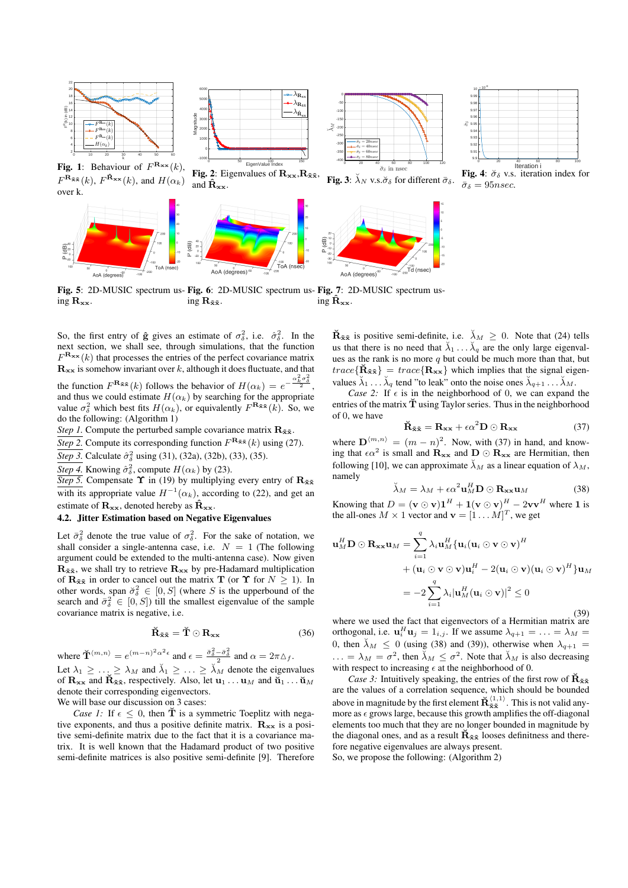

Fig. 5: 2D-MUSIC spectrum us-Fig. 6: 2D-MUSIC spectrum us-Fig. 7: 2D-MUSIC spectrum using  $\mathbf{R}_{\mathbf{xx}}$ . ing  $\mathbf{R}_{\tilde{\mathbf{x}}\tilde{\mathbf{x}}}$ . ing  $\hat{\mathbf{R}}_{\mathbf{xx}}$ .

So, the first entry of  $\hat{g}$  gives an estimate of  $\sigma_{\delta}^2$ , i.e.  $\hat{\sigma}_{\delta}^2$ . In the next section, we shall see, through simulations, that the function  $F^{\mathbf{R}_{\mathbf{xx}}}(k)$  that processes the entries of the perfect covariance matrix  $\mathbf{R}_{\mathbf{xx}}$  is somehow invariant over k, although it does fluctuate, and that

the function  $F^{\textbf{R}_{\tilde{\textbf{x}}\tilde{\textbf{x}}}}(k)$  follows the behavior of  $H(\alpha_k) = e^{-\frac{\alpha_k^2 \sigma_2^2}{2}}$ , and thus we could estimate  $H(\alpha_k)$  by searching for the appropriate value  $\sigma_{\delta}^2$  which best fits  $H(\alpha_k)$ , or equivalently  $F^{\mathbf{R}_{\tilde{\mathbf{x}}\tilde{\mathbf{x}}}}(k)$ . So, we do the following: (Algorithm 1)

*Step 1.* Compute the perturbed sample covariance matrix  $\mathbf{R}_{\tilde{\mathbf{x}}\tilde{\mathbf{x}}}$ .

*Step 2.* Compute its corresponding function  $F^{\mathbf{R}_{\tilde{\mathbf{x}}\tilde{\mathbf{x}}}}(k)$  using (27).

*Step 3*. Calculate  $\hat{\sigma}_{\delta}^2$  using (31), (32a), (32b), (33), (35).

*Step 4.* Knowing  $\hat{\sigma}_{\delta}^2$ , compute  $H(\alpha_k)$  by (23).

*Step 5.* Compensate  $\Upsilon$  in (19) by multiplying every entry of  $\mathbf{R}_{\tilde{\mathbf{x}}\tilde{\mathbf{x}}}$ with its appropriate value  $H^{-1}(\alpha_k)$ , according to (22), and get an estimate of  $\mathbf{R}_{\mathbf{x}\mathbf{x}}$ , denoted hereby as  $\hat{\mathbf{R}}_{\mathbf{x}\mathbf{x}}$ .

### 4.2. Jitter Estimation based on Negative Eigenvalues

Let  $\bar{\sigma}_{\delta}^2$  denote the true value of  $\sigma_{\delta}^2$ . For the sake of notation, we shall consider a single-antenna case, i.e.  $N = 1$  (The following argument could be extended to the multi-antenna case). Now given  $\mathbf{R}_{\tilde{\mathbf{x}}\tilde{\mathbf{x}}}$ , we shall try to retrieve  $\mathbf{R}_{\mathbf{x}\mathbf{x}}$  by pre-Hadamard multiplication of  $\mathbf{R}_{\tilde{\mathbf{x}}\tilde{\mathbf{x}}}$  in order to cancel out the matrix T (or  $\Upsilon$  for  $N > 1$ ). In other words, span  $\check{\sigma}_{\delta}^2 \in [0, S]$  (where S is the upperbound of the search and  $\bar{\sigma}_{\delta}^2 \in [0, S]$ ) till the smallest eigenvalue of the sample covariance matrix is negative, i.e.

$$
\breve{\mathbf{R}}_{\tilde{\mathbf{x}}\tilde{\mathbf{x}}} = \breve{\mathbf{T}} \odot \mathbf{R}_{\mathbf{x}\mathbf{x}} \tag{36}
$$

where  $\check{\mathbf{T}}^{\langle m,n\rangle} = e^{(m-n)^2\alpha^2\epsilon}$  and  $\epsilon = \frac{\check{\sigma}_\delta^2 - \bar{\sigma}_\delta^2}{2}$  and  $\alpha = 2\pi\Delta_f$ . Let  $\lambda_1 \geq \ldots \geq \lambda_M$  and  $\lambda_1 \geq \ldots \geq \lambda_M$  denote the eigenvalues of  $\mathbf{R}_{\mathbf{x}\mathbf{x}}$  and  $\check{\mathbf{R}}_{\tilde{\mathbf{x}}\tilde{\mathbf{x}}}$ , respectively. Also, let  $\mathbf{u}_1 \dots \mathbf{u}_M$  and  $\check{\mathbf{u}}_1 \dots \check{\mathbf{u}}_M$ denote their corresponding eigenvectors.

We will base our discussion on 3 cases:

*Case 1:* If  $\epsilon \leq 0$ , then  $\check{\mathbf{T}}$  is a symmetric Toeplitz with negative exponents, and thus a positive definite matrix.  $\mathbf{R}_{\mathbf{x}\mathbf{x}}$  is a positive semi-definite matrix due to the fact that it is a covariance matrix. It is well known that the Hadamard product of two positive semi-definite matrices is also positive semi-definite [9]. Therefore

 $\check{\mathbf{R}}_{\tilde{\mathbf{x}}\tilde{\mathbf{x}}}$  is positive semi-definite, i.e.  $\check{\lambda}_M \geq 0$ . Note that (24) tells us that there is no need that  $\check{\lambda}_1 \dots \check{\lambda}_q$  are the only large eigenvalues as the rank is no more  $q$  but could be much more than that, but  $trace\{\tilde{\mathbf{R}}_{\tilde{\mathbf{x}}\tilde{\mathbf{x}}}\} = trace\{\mathbf{R}_{\mathbf{x}\mathbf{x}}\}$  which implies that the signal eigenvalues  $\check{\lambda}_1 \dots \check{\lambda}_q$  tend "to leak" onto the noise ones  $\check{\lambda}_{q+1} \dots \check{\lambda}_M$ .

*Case 2:* If  $\epsilon$  is in the neighborhood of 0, we can expand the entries of the matrix  $\check{\mathbf{T}}$  using Taylor series. Thus in the neighborhood of 0, we have

$$
\breve{\mathbf{R}}_{\tilde{\mathbf{x}}\tilde{\mathbf{x}}} = \mathbf{R}_{\mathbf{x}\mathbf{x}} + \epsilon \alpha^2 \mathbf{D} \odot \mathbf{R}_{\mathbf{x}\mathbf{x}} \tag{37}
$$

where  $\mathbf{D}^{\langle m,n\rangle} = (m-n)^2$ . Now, with (37) in hand, and knowing that  $\epsilon \alpha^2$  is small and  $\mathbf{R}_{\mathbf{x}\mathbf{x}}$  and  $\mathbf{D} \odot \mathbf{R}_{\mathbf{x}\mathbf{x}}$  are Hermitian, then following [10], we can approximate  $\lambda_M$  as a linear equation of  $\lambda_M$ , namely

$$
\breve{\lambda}_M = \lambda_M + \epsilon \alpha^2 \mathbf{u}_M^H \mathbf{D} \odot \mathbf{R}_{\mathbf{x}\mathbf{x}} \mathbf{u}_M \tag{38}
$$

Knowing that  $D = (\mathbf{v} \odot \mathbf{v})\mathbf{1}^H + \mathbf{1}(\mathbf{v} \odot \mathbf{v})^H - 2\mathbf{v}\mathbf{v}^H$  where 1 is the all-ones  $M \times 1$  vector and  $\mathbf{v} = [1 \dots M]^T$ , we get

$$
\mathbf{u}_M^H \mathbf{D} \odot \mathbf{R}_{\mathbf{x}\mathbf{x}} \mathbf{u}_M = \sum_{i=1}^q \lambda_i \mathbf{u}_M^H \{ \mathbf{u}_i (\mathbf{u}_i \odot \mathbf{v} \odot \mathbf{v})^H
$$
  
+  $(\mathbf{u}_i \odot \mathbf{v} \odot \mathbf{v}) \mathbf{u}_i^H - 2 (\mathbf{u}_i \odot \mathbf{v}) (\mathbf{u}_i \odot \mathbf{v})^H \} \mathbf{u}_M$   
=  $-2 \sum_{i=1}^q \lambda_i |\mathbf{u}_M^H (\mathbf{u}_i \odot \mathbf{v})|^2 \le 0$ 

(39) where we used the fact that eigenvectors of a Hermitian matrix are orthogonal, i.e.  $\mathbf{u}_i^H \mathbf{u}_j = 1_{i,j}$ . If we assume  $\lambda_{q+1} = \ldots = \lambda_M =$ 0, then  $\lambda_M \leq 0$  (using (38) and (39)), otherwise when  $\lambda_{q+1}$  =  $\ldots = \lambda_M = \sigma^2$ , then  $\lambda_M \leq \sigma^2$ . Note that  $\lambda_M$  is also decreasing with respect to increasing  $\epsilon$  at the neighborhood of 0.

*Case 3:* Intuitively speaking, the entries of the first row of  $\tilde{R}_{\tilde{x}\tilde{x}}$ are the values of a correlation sequence, which should be bounded above in magnitude by the first element  $\check{R}^{(1,1)}_{\tilde{\mathbf{x}}\tilde{\mathbf{x}}}$ . This is not valid anymore as  $\epsilon$  grows large, because this growth amplifies the off-diagonal elements too much that they are no longer bounded in magnitude by the diagonal ones, and as a result  $\tilde{R}_{\tilde{x}\tilde{x}}$  looses definitness and therefore negative eigenvalues are always present.

So, we propose the following: (Algorithm 2)